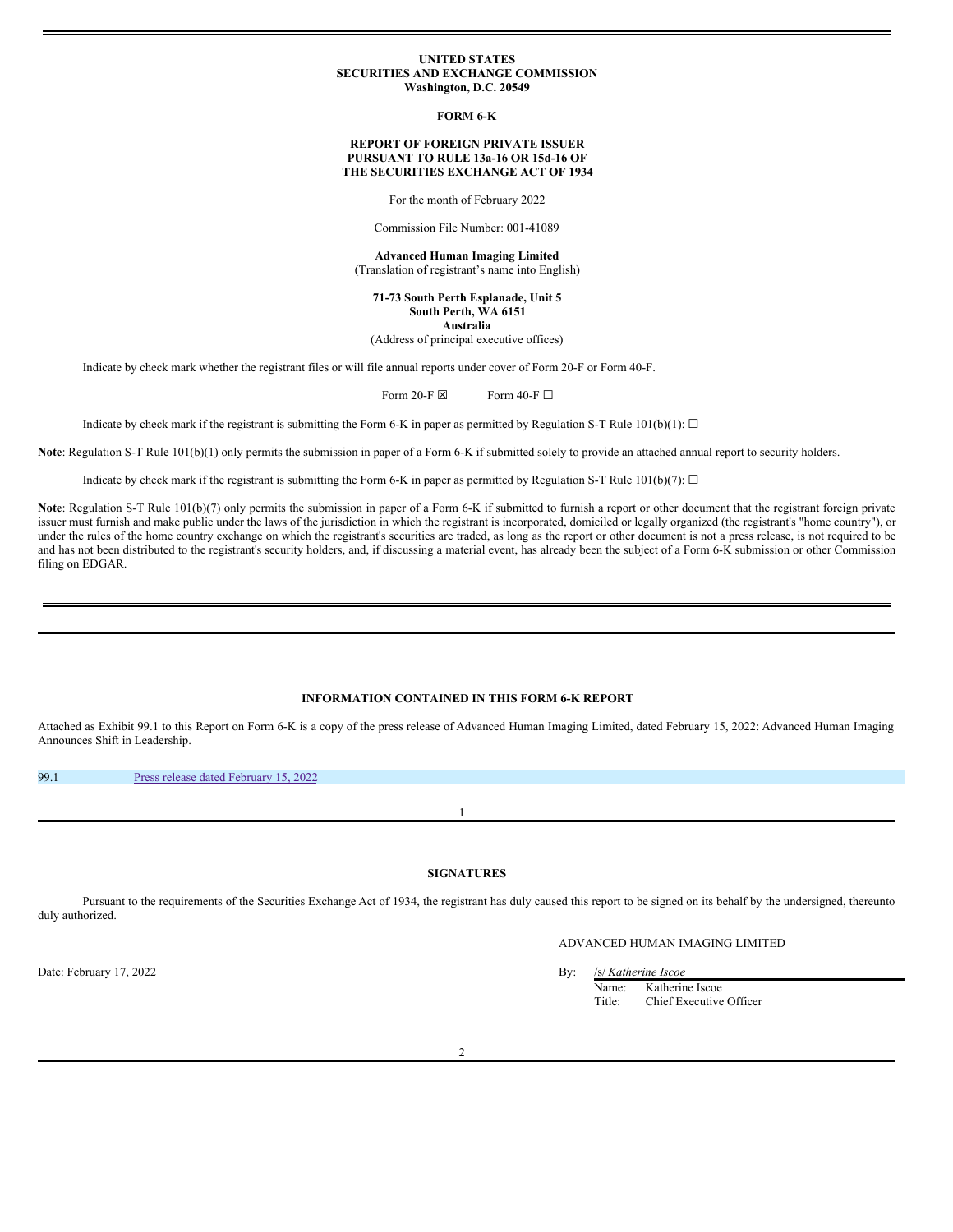#### **UNITED STATES SECURITIES AND EXCHANGE COMMISSION Washington, D.C. 20549**

**FORM 6-K**

## **REPORT OF FOREIGN PRIVATE ISSUER PURSUANT TO RULE 13a-16 OR 15d-16 OF THE SECURITIES EXCHANGE ACT OF 1934**

For the month of February 2022

Commission File Number: 001-41089

**Advanced Human Imaging Limited** (Translation of registrant's name into English)

**71-73 South Perth Esplanade, Unit 5 South Perth, WA 6151 Australia**

(Address of principal executive offices)

Indicate by check mark whether the registrant files or will file annual reports under cover of Form 20-F or Form 40-F.

Form 20-F  $\boxtimes$  Form 40-F  $\Box$ 

Indicate by check mark if the registrant is submitting the Form 6-K in paper as permitted by Regulation S-T Rule 101(b)(1):  $\Box$ 

**Note**: Regulation S-T Rule 101(b)(1) only permits the submission in paper of a Form 6-K if submitted solely to provide an attached annual report to security holders.

Indicate by check mark if the registrant is submitting the Form 6-K in paper as permitted by Regulation S-T Rule 101(b)(7):  $\Box$ 

Note: Regulation S-T Rule 101(b)(7) only permits the submission in paper of a Form 6-K if submitted to furnish a report or other document that the registrant foreign private issuer must furnish and make public under the laws of the jurisdiction in which the registrant is incorporated, domiciled or legally organized (the registrant's "home country"), or under the rules of the home country exchange on which the registrant's securities are traded, as long as the report or other document is not a press release, is not required to be and has not been distributed to the registrant's security holders, and, if discussing a material event, has already been the subject of a Form 6-K submission or other Commission filing on EDGAR.

### **INFORMATION CONTAINED IN THIS FORM 6-K REPORT**

Attached as Exhibit 99.1 to this Report on Form 6-K is a copy of the press release of Advanced Human Imaging Limited, dated February 15, 2022: Advanced Human Imaging Announces Shift in Leadership.

99.1 Press release dated [February](#page-1-0) 15, 2022

## **SIGNATURES**

1

Pursuant to the requirements of the Securities Exchange Act of 1934, the registrant has duly caused this report to be signed on its behalf by the undersigned, thereunto duly authorized.

## ADVANCED HUMAN IMAGING LIMITED

Date: February 17, 2022 By: /s/ *Katherine Iscoe*

Name: Katherine Iscoe<br>Title: Chief Executive Chief Executive Officer